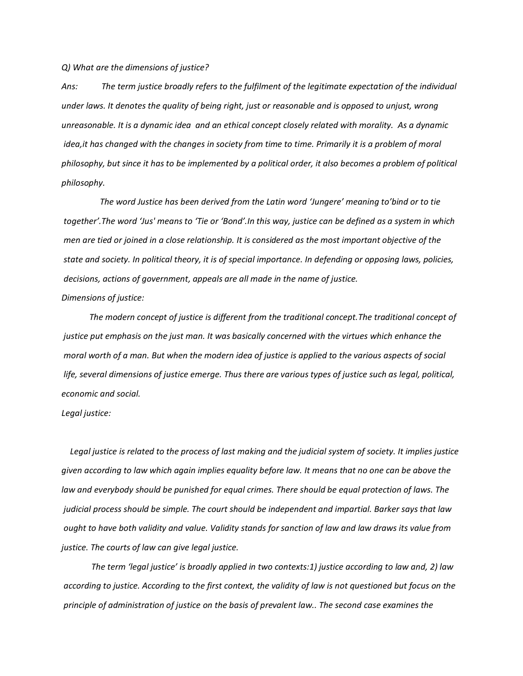*Q) What are the dimensions of justice?* 

*Ans: The term justice broadly refers to the fulfilment of the legitimate expectation of the individual under laws. It denotes the quality of being right, just or reasonable and is opposed to unjust, wrong unreasonable. It is a dynamic idea and an ethical concept closely related with morality. As a dynamic idea,it has changed with the changes in society from time to time. Primarily it is a problem of moral philosophy, but since it has to be implemented by a political order, it also becomes a problem of political philosophy.* 

 *The word Justice has been derived from the Latin word 'Jungere' meaning to'bind or to tie together'.The word 'Jus' means to 'Tie or 'Bond'.In this way, justice can be defined as a system in which men are tied or joined in a close relationship. It is considered as the most important objective of the state and society. In political theory, it is of special importance. In defending or opposing laws, policies, decisions, actions of government, appeals are all made in the name of justice. Dimensions of justice:*

 *The modern concept of justice is different from the traditional concept.The traditional concept of justice put emphasis on the just man. It was basically concerned with the virtues which enhance the moral worth of a man. But when the modern idea of justice is applied to the various aspects of social life, several dimensions of justice emerge. Thus there are various types of justice such as legal, political, economic and social.* 

## *Legal justice:*

 *Legal justice is related to the process of last making and the judicial system of society. It implies justice given according to law which again implies equality before law. It means that no one can be above the law and everybody should be punished for equal crimes. There should be equal protection of laws. The judicial process should be simple. The court should be independent and impartial. Barker says that law ought to have both validity and value. Validity stands for sanction of law and law draws its value from justice. The courts of law can give legal justice.* 

 *The term 'legal justice' is broadly applied in two contexts:1) justice according to law and, 2) law according to justice. According to the first context, the validity of law is not questioned but focus on the principle of administration of justice on the basis of prevalent law.. The second case examines the*